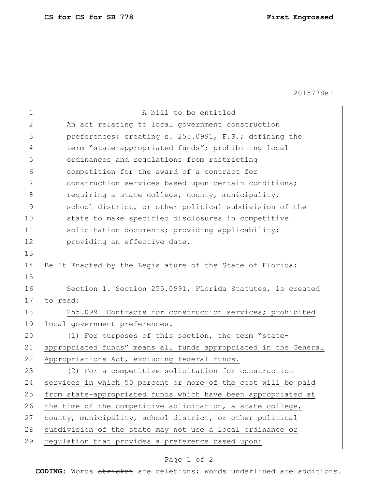2015778e1

| 1            | A bill to be entitled                                           |
|--------------|-----------------------------------------------------------------|
| $\mathbf{2}$ | An act relating to local government construction                |
| 3            | preferences; creating s. 255.0991, F.S.; defining the           |
| 4            | term "state-appropriated funds"; prohibiting local              |
| 5            | ordinances and regulations from restricting                     |
| 6            | competition for the award of a contract for                     |
| 7            | construction services based upon certain conditions;            |
| 8            | requiring a state college, county, municipality,                |
| 9            | school district, or other political subdivision of the          |
| 10           | state to make specified disclosures in competitive              |
| 11           | solicitation documents; providing applicability;                |
| 12           | providing an effective date.                                    |
| 13           |                                                                 |
| 14           | Be It Enacted by the Legislature of the State of Florida:       |
| 15           |                                                                 |
| 16           | Section 1. Section 255.0991, Florida Statutes, is created       |
| 17           | to read:                                                        |
| 18           | 255.0991 Contracts for construction services; prohibited        |
| 19           | local government preferences.-                                  |
| 20           | (1) For purposes of this section, the term "state-              |
| 21           | appropriated funds" means all funds appropriated in the General |
| 22           | Appropriations Act, excluding federal funds.                    |
| 23           | (2) For a competitive solicitation for construction             |
| 24           | services in which 50 percent or more of the cost will be paid   |
| 25           | from state-appropriated funds which have been appropriated at   |
| 26           | the time of the competitive solicitation, a state college,      |
| 27           | county, municipality, school district, or other political       |
| 28           | subdivision of the state may not use a local ordinance or       |
| 29           | regulation that provides a preference based upon:               |

## Page 1 of 2

**CODING**: Words stricken are deletions; words underlined are additions.